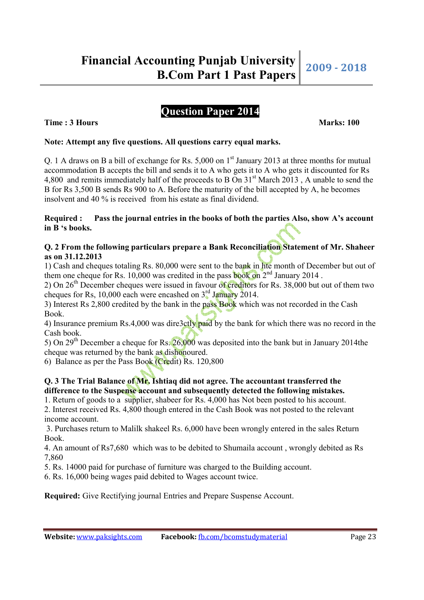# **Time : 3 Hours Marks: 100 Marks: 100**

### **Note: Attempt any five questions. All questions carry equal marks.**

Q. 1 A draws on B a bill of exchange for Rs. 5,000 on  $1<sup>st</sup>$  January 2013 at three months for mutual accommodation B accepts the bill and sends it to A who gets it to A who gets it discounted for Rs 4,800 and remits immediately half of the proceeds to B On 31<sup>st</sup> March 2013, A unable to send the B for Rs 3,500 B sends Rs 900 to A. Before the maturity of the bill accepted by A, he becomes insolvent and 40 % is received from his estate as final dividend.

#### **Required : Pass the journal entries in the books of both the parties Also, show A's account in B 's books.**

### **Q. 2 From the following particulars prepare a Bank Reconciliation Statement of Mr. Shaheer as on 31.12.2013**

1) Cash and cheques totaling Rs. 80,000 were sent to the bank in hte month of December but out of them one cheque for Rs. 10,000 was credited in the pass book on  $2^{nd}$  January 2014.

2) On  $26<sup>th</sup>$  December cheques were issued in favour of creditors for Rs. 38,000 but out of them two cheques for Rs, 10,000 each were encashed on 3rd January 2014.

3) Interest Rs 2,800 credited by the bank in the pass Book which was not recorded in the Cash Book.

4) Insurance premium Rs.4,000 was dire3ctly paid by the bank for which there was no record in the Cash book.

5) On 29<sup>th</sup> December a cheque for Rs.  $26,000$  was deposited into the bank but in January 2014 the cheque was returned by the bank as dishonoured.

6) Balance as per the Pass Book (Credit) Rs. 120,800

# **Q. 3 The Trial Balance of Mr. Ishtiaq did not agree. The accountant transferred the difference to the Suspense account and subsequently detected the following mistakes.**

1. Return of goods to a supplier, shabeer for Rs. 4,000 has Not been posted to his account.

2. Interest received Rs. 4,800 though entered in the Cash Book was not posted to the relevant income account.

 3. Purchases return to Malilk shakeel Rs. 6,000 have been wrongly entered in the sales Return Book.

4. An amount of Rs7,680 which was to be debited to Shumaila account , wrongly debited as Rs 7,860

5. Rs. 14000 paid for purchase of furniture was charged to the Building account.

6. Rs. 16,000 being wages paid debited to Wages account twice.

**Required:** Give Rectifying journal Entries and Prepare Suspense Account.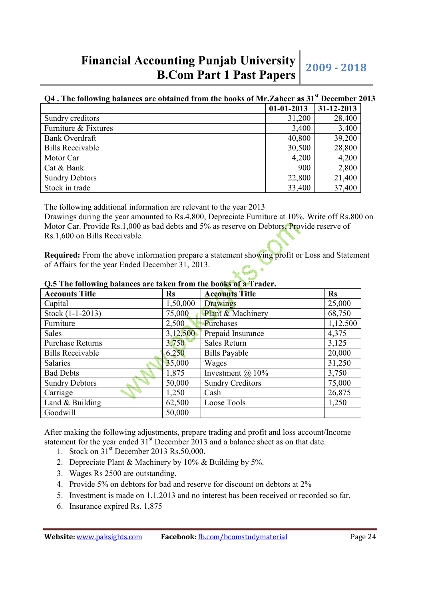# **Q4 . The following balances are obtained from the books of Mr.Zaheer as 31st December 2013**

|                         | $01-01-2013$ | $31 - 12 - 2013$ |
|-------------------------|--------------|------------------|
| Sundry creditors        | 31,200       | 28,400           |
| Furniture & Fixtures    | 3,400        | 3,400            |
| <b>Bank Overdraft</b>   | 40,800       | 39,200           |
| <b>Bills Receivable</b> | 30,500       | 28,800           |
| Motor Car               | 4,200        | 4,200            |
| Cat & Bank              | 900          | 2,800            |
| <b>Sundry Debtors</b>   | 22,800       | 21,400           |
| Stock in trade          | 33,400       | 37,400           |

The following additional information are relevant to the year 2013

Drawings during the year amounted to Rs.4,800, Depreciate Furniture at 10%. Write off Rs.800 on Motor Car. Provide Rs.1,000 as bad debts and 5% as reserve on Debtors, Provide reserve of Rs.1,600 on Bills Receivable.

**Required:** From the above information prepare a statement showing profit or Loss and Statement of Affairs for the year Ended December 31, 2013.

| <b>Accounts Title</b>   | $\mathbf{Rs}$ | <b>Accounts Title</b>   | <b>Rs</b> |
|-------------------------|---------------|-------------------------|-----------|
| Capital                 | 1,50,000      | Drawings                | 25,000    |
| Stock (1-1-2013)        | 75,000        | Plant & Machinery       | 68,750    |
| Furniture               | 2,500         | Purchases               | 1,12,500  |
| Sales                   | 3,12,500      | Prepaid Insurance       | 4,375     |
| <b>Purchase Returns</b> | 3,750         | Sales Return            | 3,125     |
| <b>Bills Receivable</b> | 6,250         | <b>Bills Payable</b>    | 20,000    |
| Salaries                | 35,000        | Wages                   | 31,250    |
| <b>Bad Debts</b>        | 1,875         | Investment $(a)$ 10%    | 3,750     |
| <b>Sundry Debtors</b>   | 50,000        | <b>Sundry Creditors</b> | 75,000    |
| Carriage                | 1,250         | Cash                    | 26,875    |
| Land & Building         | 62,500        | Loose Tools             | 1,250     |
| Goodwill                | 50,000        |                         |           |

# **Q.5 The following balances are taken from the books of a Trader.**

After making the following adjustments, prepare trading and profit and loss account/Income statement for the year ended  $31<sup>st</sup>$  December 2013 and a balance sheet as on that date.

- 1. Stock on 31st December 2013 Rs.50,000.
- 2. Depreciate Plant & Machinery by 10% & Building by 5%.
- 3. Wages Rs 2500 are outstanding.
- 4. Provide 5% on debtors for bad and reserve for discount on debtors at 2%
- 5. Investment is made on 1.1.2013 and no interest has been received or recorded so far.
- 6. Insurance expired Rs. 1,875